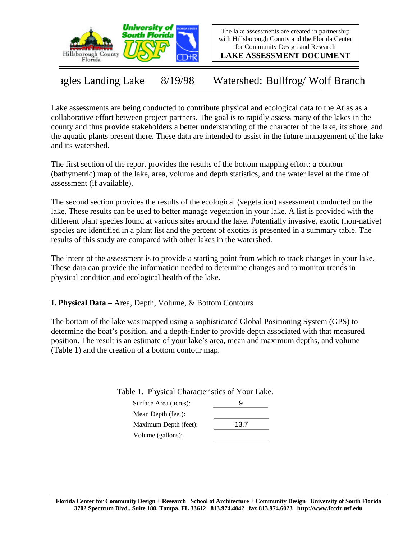

The lake assessments are created in partnership with Hillsborough County and the Florida Center for Community Design and Research

**LAKE ASSESSMENT DOCUMENT**

Eagles Landing Lake 8/19/98 Watershed: Bullfrog/ Wolf Branch

Lake assessments are being conducted to contribute physical and ecological data to the Atlas as a collaborative effort between project partners. The goal is to rapidly assess many of the lakes in the county and thus provide stakeholders a better understanding of the character of the lake, its shore, and the aquatic plants present there. These data are intended to assist in the future management of the lake and its watershed.

The first section of the report provides the results of the bottom mapping effort: a contour (bathymetric) map of the lake, area, volume and depth statistics, and the water level at the time of assessment (if available).

The second section provides the results of the ecological (vegetation) assessment conducted on the lake. These results can be used to better manage vegetation in your lake. A list is provided with the different plant species found at various sites around the lake. Potentially invasive, exotic (non-native) species are identified in a plant list and the percent of exotics is presented in a summary table. The results of this study are compared with other lakes in the watershed.

The intent of the assessment is to provide a starting point from which to track changes in your lake. These data can provide the information needed to determine changes and to monitor trends in physical condition and ecological health of the lake.

**I. Physical Data –** Area, Depth, Volume, & Bottom Contours

The bottom of the lake was mapped using a sophisticated Global Positioning System (GPS) to determine the boat's position, and a depth-finder to provide depth associated with that measured position. The result is an estimate of your lake's area, mean and maximum depths, and volume (Table 1) and the creation of a bottom contour map.

Table 1. Physical Characteristics of Your Lake.

| Surface Area (acres): |      |
|-----------------------|------|
| Mean Depth (feet):    |      |
| Maximum Depth (feet): | 13.7 |
| Volume (gallons):     |      |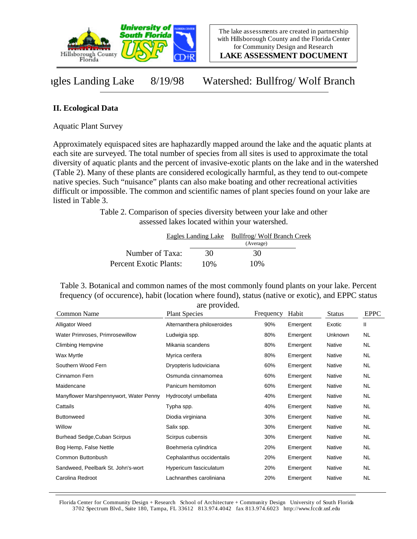

**LAKE ASSESSMENT DOCUMENT**

Eagles Landing Lake 8/19/98 Watershed: Bullfrog/ Wolf Branch

## **II. Ecological Data**

Aquatic Plant Survey

Approximately equispaced sites are haphazardly mapped around the lake and the aquatic plants at each site are surveyed. The total number of species from all sites is used to approximate the total diversity of aquatic plants and the percent of invasive-exotic plants on the lake and in the watershed (Table 2). Many of these plants are considered ecologically harmful, as they tend to out-compete native species. Such "nuisance" plants can also make boating and other recreational activities difficult or impossible. The common and scientific names of plant species found on your lake are listed in Table 3.

> Table 2. Comparison of species diversity between your lake and other assessed lakes located within your watershed.

|                        | Eagles Landing Lake | <b>Bullfrog/Wolf Branch Creek</b> |  |  |
|------------------------|---------------------|-----------------------------------|--|--|
|                        |                     | (Average)                         |  |  |
| Number of Taxa:        | 30                  | 30                                |  |  |
| Percent Exotic Plants: | 10%                 | 10%                               |  |  |

Table 3. Botanical and common names of the most commonly found plants on your lake. Percent frequency (of occurence), habit (location where found), status (native or exotic), and EPPC status are provided.

| Common Name                            | <b>Plant Species</b>        | Frequency | Habit    | <b>Status</b> | <b>EPPC</b> |
|----------------------------------------|-----------------------------|-----------|----------|---------------|-------------|
| Alligator Weed                         | Alternanthera philoxeroides | 90%       | Emergent | Exotic        | Ш           |
| Water Primroses, Primrosewillow        | Ludwigia spp.               | 80%       | Emergent | Unknown       | <b>NL</b>   |
| <b>Climbing Hempvine</b>               | Mikania scandens            | 80%       | Emergent | Native        | <b>NL</b>   |
| Wax Myrtle                             | Myrica cerifera             | 80%       | Emergent | Native        | <b>NL</b>   |
| Southern Wood Fern                     | Dryopteris ludoviciana      | 60%       | Emergent | Native        | <b>NL</b>   |
| Cinnamon Fern                          | Osmunda cinnamomea          | 60%       | Emergent | Native        | <b>NL</b>   |
| Maidencane                             | Panicum hemitomon           | 60%       | Emergent | Native        | <b>NL</b>   |
| Manyflower Marshpennywort, Water Penny | Hydrocotyl umbellata        | 40%       | Emergent | Native        | <b>NL</b>   |
| Cattails                               | Typha spp.                  | 40%       | Emergent | Native        | <b>NL</b>   |
| <b>Buttonweed</b>                      | Diodia virginiana           | 30%       | Emergent | Native        | <b>NL</b>   |
| Willow                                 | Salix spp.                  | 30%       | Emergent | Native        | <b>NL</b>   |
| Burhead Sedge, Cuban Scirpus           | Scirpus cubensis            | 30%       | Emergent | Native        | <b>NL</b>   |
| Bog Hemp, False Nettle                 | Boehmeria cylindrica        | 20%       | Emergent | Native        | <b>NL</b>   |
| Common Buttonbush                      | Cephalanthus occidentalis   | 20%       | Emergent | Native        | <b>NL</b>   |
| Sandweed, Peelbark St. John's-wort     | Hypericum fasciculatum      | 20%       | Emergent | Native        | <b>NL</b>   |
| Carolina Redroot                       | Lachnanthes caroliniana     | 20%       | Emergent | Native        | <b>NL</b>   |

Florida Center for Community Design + Research School of Architecture + Community Design University of South Florida 3702 Spectrum Blvd., Suite 180, Tampa, FL 33612 813.974.4042 fax 813.974.6023 http://www.fccdr.usf.edu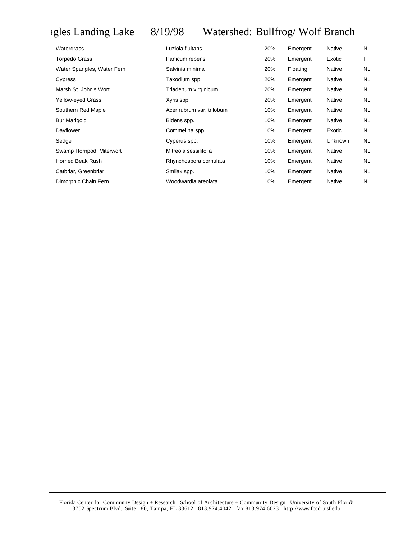## Eagles Landing Lake 8/19/98 Watershed: Bullfrog/ Wolf Branch

| Watergrass                 | Luziola fluitans          | 20% | Emergent | Native         | <b>NL</b> |
|----------------------------|---------------------------|-----|----------|----------------|-----------|
| <b>Torpedo Grass</b>       | Panicum repens            | 20% | Emergent | Exotic         |           |
| Water Spangles, Water Fern | Salvinia minima           | 20% | Floating | Native         | NL        |
| Cypress                    | Taxodium spp.             | 20% | Emergent | Native         | <b>NL</b> |
| Marsh St. John's Wort      | Triadenum virginicum      | 20% | Emergent | Native         | <b>NL</b> |
| <b>Yellow-eyed Grass</b>   | Xyris spp.                | 20% | Emergent | Native         | <b>NL</b> |
| Southern Red Maple         | Acer rubrum var. trilobum | 10% | Emergent | Native         | <b>NL</b> |
| <b>Bur Marigold</b>        | Bidens spp.               | 10% | Emergent | Native         | <b>NL</b> |
| Dayflower                  | Commelina spp.            | 10% | Emergent | Exotic         | <b>NL</b> |
| Sedge                      | Cyperus spp.              | 10% | Emergent | <b>Unknown</b> | <b>NL</b> |
| Swamp Hornpod, Miterwort   | Mitreola sessilifolia     | 10% | Emergent | <b>Native</b>  | <b>NL</b> |
| Horned Beak Rush           | Rhynchospora cornulata    | 10% | Emergent | Native         | <b>NL</b> |
| Catbriar, Greenbriar       | Smilax spp.               | 10% | Emergent | Native         | <b>NL</b> |
| Dimorphic Chain Fern       | Woodwardia areolata       | 10% | Emergent | Native         | <b>NL</b> |

Florida Center for Community Design + Research School of Architecture + Community Design University of South Florida 3702 Spectrum Blvd., Suite 180, Tampa, FL 33612 813.974.4042 fax 813.974.6023 http://www.fccdr.usf.edu